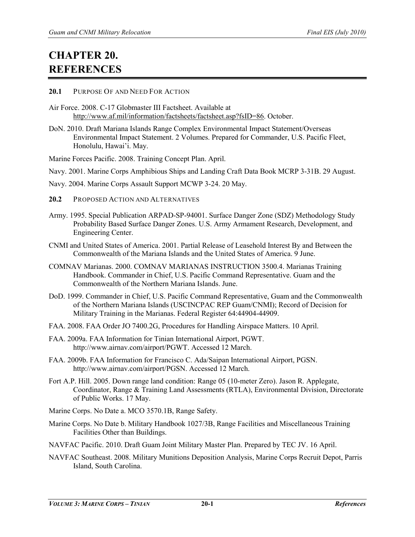## **CHAPTER 20. REFERENCES**

## **20.1** PURPOSE OF AND NEED FOR ACTION

- Air Force. 2008. C-17 Globmaster III Factsheet. Available at [http://www.af.mil/information/factsheets/factsheet.asp?fsID=86.](http://www.af.mil/information/factsheets/factsheet.asp?fsID=86) October.
- DoN. 2010. Draft Mariana Islands Range Complex Environmental Impact Statement/Overseas Environmental Impact Statement. 2 Volumes. Prepared for Commander, U.S. Pacific Fleet, Honolulu, Hawai'i. May.

Marine Forces Pacific. 2008. Training Concept Plan. April.

- Navy. 2001. Marine Corps Amphibious Ships and Landing Craft Data Book MCRP 3-31B. 29 August.
- Navy. 2004. Marine Corps Assault Support MCWP 3-24. 20 May.
- **20.2** PROPOSED ACTION AND ALTERNATIVES
- Army. 1995. Special Publication ARPAD-SP-94001. Surface Danger Zone (SDZ) Methodology Study Probability Based Surface Danger Zones. U.S. Army Armament Research, Development, and Engineering Center.
- CNMI and United States of America. 2001. Partial Release of Leasehold Interest By and Between the Commonwealth of the Mariana Islands and the United States of America. 9 June.
- COMNAV Marianas. 2000. COMNAV MARIANAS INSTRUCTION 3500.4. Marianas Training Handbook. Commander in Chief, U.S. Pacific Command Representative. Guam and the Commonwealth of the Northern Mariana Islands. June.
- DoD. 1999. Commander in Chief, U.S. Pacific Command Representative, Guam and the Commonwealth of the Northern Mariana Islands (USCINCPAC REP Guam/CNMI); Record of Decision for Military Training in the Marianas. Federal Register 64:44904-44909.
- FAA. 2008. FAA Order JO 7400.2G, Procedures for Handling Airspace Matters. 10 April.
- FAA. 2009a. FAA Information for Tinian International Airport, PGWT. http://www.airnav.com/airport/PGWT. Accessed 12 March.
- FAA. 2009b. FAA Information for Francisco C. Ada/Saipan International Airport, PGSN. http://www.airnav.com/airport/PGSN. Accessed 12 March.
- Fort A.P. Hill. 2005. Down range land condition: Range 05 (10-meter Zero). Jason R. Applegate, Coordinator, Range & Training Land Assessments (RTLA), Environmental Division, Directorate of Public Works. 17 May.
- Marine Corps. No Date a. MCO 3570.1B, Range Safety.
- Marine Corps. No Date b. Military Handbook 1027/3B, Range Facilities and Miscellaneous Training Facilities Other than Buildings.
- NAVFAC Pacific. 2010. Draft Guam Joint Military Master Plan. Prepared by TEC JV. 16 April.
- NAVFAC Southeast. 2008. Military Munitions Deposition Analysis, Marine Corps Recruit Depot, Parris Island, South Carolina.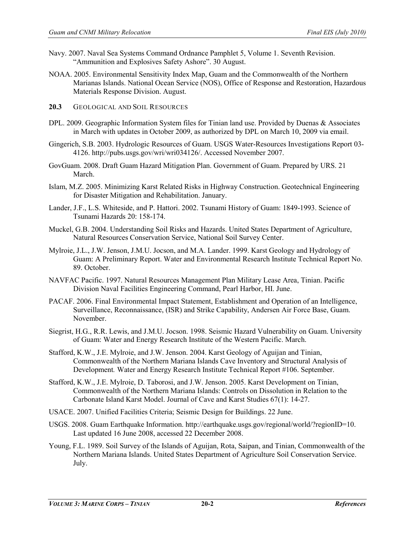- Navy. 2007. Naval Sea Systems Command Ordnance Pamphlet 5, Volume 1. Seventh Revision. "Ammunition and Explosives Safety Ashore". 30 August.
- NOAA. 2005. Environmental Sensitivity Index Map, Guam and the Commonwealth of the Northern Marianas Islands. National Ocean Service (NOS), Office of Response and Restoration, Hazardous Materials Response Division. August.
- **20.3** GEOLOGICAL AND SOIL RESOURCES
- DPL. 2009. Geographic Information System files for Tinian land use. Provided by Duenas & Associates in March with updates in October 2009, as authorized by DPL on March 10, 2009 via email.
- Gingerich, S.B. 2003. Hydrologic Resources of Guam. USGS Water-Resources Investigations Report 03- 4126. http://pubs.usgs.gov/wri/wri034126/. Accessed November 2007.
- GovGuam. 2008. Draft Guam Hazard Mitigation Plan. Government of Guam. Prepared by URS. 21 March.
- Islam, M.Z. 2005. Minimizing Karst Related Risks in Highway Construction. Geotechnical Engineering for Disaster Mitigation and Rehabilitation. January.
- Lander, J.F., L.S. Whiteside, and P. Hattori. 2002. Tsunami History of Guam: 1849-1993. Science of Tsunami Hazards 20: 158-174.
- Muckel, G.B. 2004. Understanding Soil Risks and Hazards. United States Department of Agriculture, Natural Resources Conservation Service, National Soil Survey Center.
- Mylroie, J.L., J.W. Jenson, J.M.U. Jocson, and M.A. Lander. 1999. Karst Geology and Hydrology of Guam: A Preliminary Report. Water and Environmental Research Institute Technical Report No. 89. October.
- NAVFAC Pacific. 1997. Natural Resources Management Plan Military Lease Area, Tinian. Pacific Division Naval Facilities Engineering Command, Pearl Harbor, HI. June.
- PACAF. 2006. Final Environmental Impact Statement, Establishment and Operation of an Intelligence, Surveillance, Reconnaissance, (ISR) and Strike Capability, Andersen Air Force Base, Guam. November.
- Siegrist, H.G., R.R. Lewis, and J.M.U. Jocson. 1998. Seismic Hazard Vulnerability on Guam. University of Guam: Water and Energy Research Institute of the Western Pacific. March.
- Stafford, K.W., J.E. Mylroie, and J.W. Jenson. 2004. Karst Geology of Aguijan and Tinian, Commonwealth of the Northern Mariana Islands Cave Inventory and Structural Analysis of Development*.* Water and Energy Research Institute Technical Report #106. September.
- Stafford, K.W., J.E. Mylroie, D. Taborosi, and J.W. Jenson. 2005. Karst Development on Tinian, Commonwealth of the Northern Mariana Islands: Controls on Dissolution in Relation to the Carbonate Island Karst Model. Journal of Cave and Karst Studies 67(1): 14-27.
- USACE. 2007. Unified Facilities Criteria; Seismic Design for Buildings. 22 June.
- USGS. 2008. Guam Earthquake Information[. http://earthquake.usgs.gov/regional/world/?regionID=10.](http://earthquake.usgs.gov/regional/world/?regionID=10) Last updated 16 June 2008, accessed 22 December 2008.
- Young, F.L. 1989. Soil Survey of the Islands of Aguijan, Rota, Saipan, and Tinian, Commonwealth of the Northern Mariana Islands. United States Department of Agriculture Soil Conservation Service. July.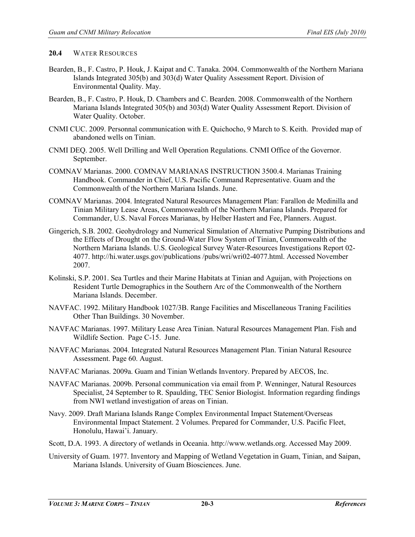## **20.4** WATER RESOURCES

- Bearden, B., F. Castro, P. Houk, J. Kaipat and C. Tanaka. 2004. Commonwealth of the Northern Mariana Islands Integrated 305(b) and 303(d) Water Quality Assessment Report. Division of Environmental Quality. May.
- Bearden, B., F. Castro, P. Houk, D. Chambers and C. Bearden. 2008. Commonwealth of the Northern Mariana Islands Integrated 305(b) and 303(d) Water Quality Assessment Report. Division of Water Quality. October.
- CNMI CUC. 2009. Personnal communication with E. Quichocho, 9 March to S. Keith. Provided map of abandoned wells on Tinian.
- CNMI DEQ. 2005. Well Drilling and Well Operation Regulations. CNMI Office of the Governor. September.
- COMNAV Marianas. 2000. COMNAV MARIANAS INSTRUCTION 3500.4. Marianas Training Handbook. Commander in Chief, U.S. Pacific Command Representative. Guam and the Commonwealth of the Northern Mariana Islands. June.
- COMNAV Marianas. 2004. Integrated Natural Resources Management Plan: Farallon de Medinilla and Tinian Military Lease Areas, Commonwealth of the Northern Mariana Islands. Prepared for Commander, U.S. Naval Forces Marianas, by Helber Hastert and Fee, Planners. August.
- Gingerich, S.B. 2002. Geohydrology and Numerical Simulation of Alternative Pumping Distributions and the Effects of Drought on the Ground-Water Flow System of Tinian, Commonwealth of the Northern Mariana Islands. U.S. Geological Survey Water-Resources Investigations Report 02- 4077. http://hi.water.usgs.gov/publications /pubs/wri/wri02-4077.html. Accessed November 2007.
- Kolinski, S.P. 2001. Sea Turtles and their Marine Habitats at Tinian and Aguijan, with Projections on Resident Turtle Demographics in the Southern Arc of the Commonwealth of the Northern Mariana Islands. December.
- NAVFAC. 1992. Military Handbook 1027/3B. Range Facilities and Miscellaneous Traning Facilities Other Than Buildings. 30 November.
- NAVFAC Marianas. 1997. Military Lease Area Tinian. Natural Resources Management Plan. Fish and Wildlife Section. Page C-15. June.
- NAVFAC Marianas. 2004. Integrated Natural Resources Management Plan. Tinian Natural Resource Assessment. Page 60. August.
- NAVFAC Marianas. 2009a. Guam and Tinian Wetlands Inventory. Prepared by AECOS, Inc.
- NAVFAC Marianas. 2009b. Personal communication via email from P. Wenninger, Natural Resources Specialist, 24 September to R. Spaulding, TEC Senior Biologist. Information regarding findings from NWI wetland investigation of areas on Tinian.
- Navy. 2009. Draft Mariana Islands Range Complex Environmental Impact Statement/Overseas Environmental Impact Statement. 2 Volumes. Prepared for Commander, U.S. Pacific Fleet, Honolulu, Hawai'i. January.
- Scott, D.A. 1993. A directory of wetlands in Oceania. http://www.wetlands.org. Accessed May 2009.
- University of Guam. 1977. Inventory and Mapping of Wetland Vegetation in Guam, Tinian, and Saipan, Mariana Islands. University of Guam Biosciences. June.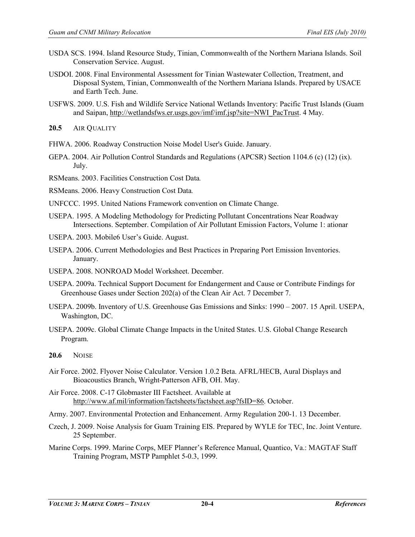- USDA SCS. 1994. Island Resource Study, Tinian, Commonwealth of the Northern Mariana Islands. Soil Conservation Service. August.
- USDOI. 2008. Final Environmental Assessment for Tinian Wastewater Collection, Treatment, and Disposal System, Tinian, Commonwealth of the Northern Mariana Islands. Prepared by USACE and Earth Tech. June.
- USFWS. 2009. U.S. Fish and Wildlife Service National Wetlands Inventory: Pacific Trust Islands (Guam and Saipan, [http://wetlandsfws.er.usgs.gov/imf/imf.jsp?site=NWI\\_PacTrust.](http://wetlandsfws.er.usgs.gov/imf/imf.jsp?site=NWI_PacTrust) 4 May.

**20.5** AIR QUALITY

FHWA. 2006. Roadway Construction Noise Model User's Guide. January.

- GEPA. 2004. Air Pollution Control Standards and Regulations (APCSR) Section 1104.6 (c) (12) (ix). July.
- RSMeans. 2003. Facilities Construction Cost Data*.*

RSMeans. 2006. Heavy Construction Cost Data*.*

- UNFCCC. 1995. United Nations Framework convention on Climate Change.
- USEPA. 1995. A Modeling Methodology for Predicting Pollutant Concentrations Near Roadway Intersections. September. Compilation of Air Pollutant Emission Factors, Volume 1: ationar

USEPA. 2003. Mobile6 User's Guide. August.

- USEPA. 2006. Current Methodologies and Best Practices in Preparing Port Emission Inventories. January.
- USEPA. 2008. NONROAD Model Worksheet. December.
- USEPA. 2009a. Technical Support Document for Endangerment and Cause or Contribute Findings for Greenhouse Gases under Section 202(a) of the Clean Air Act. 7 December 7.
- USEPA. 2009b. Inventory of U.S. Greenhouse Gas Emissions and Sinks: 1990 2007. 15 April. USEPA, Washington, DC.
- USEPA. 2009c. Global Climate Change Impacts in the United States. U.S. Global Change Research Program.
- **20.6** NOISE
- Air Force. 2002. Flyover Noise Calculator. Version 1.0.2 Beta. AFRL/HECB, Aural Displays and Bioacoustics Branch, Wright-Patterson AFB, OH. May.
- Air Force. 2008. C-17 Globmaster III Factsheet. Available at [http://www.af.mil/information/factsheets/factsheet.asp?fsID=86.](http://www.af.mil/information/factsheets/factsheet.asp?fsID=86) October.

Army. 2007. Environmental Protection and Enhancement. Army Regulation 200-1. 13 December.

- Czech, J. 2009. Noise Analysis for Guam Training EIS. Prepared by WYLE for TEC, Inc. Joint Venture. 25 September.
- Marine Corps. 1999. Marine Corps, MEF Planner's Reference Manual, Quantico, Va.: MAGTAF Staff Training Program, MSTP Pamphlet 5-0.3, 1999.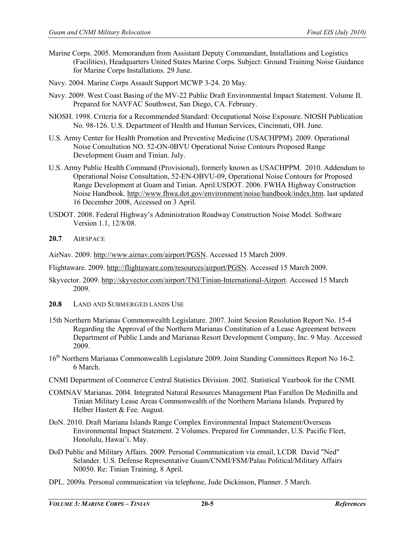- Marine Corps. 2005. Memorandum from Assistant Deputy Commandant, Installations and Logistics (Facilities), Headquarters United States Marine Corps. Subject: Ground Training Noise Guidance for Marine Corps Installations. 29 June.
- Navy. 2004. Marine Corps Assault Support MCWP 3-24. 20 May.
- Navy. 2009. West Coast Basing of the MV-22 Public Draft Environmental Impact Statement. Volume II. Prepared for NAVFAC Southwest, San Diego, CA. February.
- NIOSH. 1998. Criteria for a Recommended Standard: Occupational Noise Exposure. NIOSH Publication No. 98-126. U.S. Department of Health and Human Services, Cincinnati, OH. June.
- U.S. Army Center for Health Promotion and Preventive Medicine (USACHPPM). 2009. Operational Noise Consultation NO. 52-ON-0BVU Operational Noise Contours Proposed Range Development Guam and Tinian. July.
- U.S. Army Public Health Command (Provisional), formerly known as USACHPPM. 2010. Addendum to Operational Noise Consultation, 52-EN-OBVU-09, Operational Noise Contours for Proposed Range Development at Guam and Tinian. April.USDOT. 2006. FWHA Highway Construction Noise Handbook[. http://www.fhwa.dot.gov/environment/noise/handbook/index.htm.](http://www.fhwa.dot.gov/environment/noise/handbook/index.htm) last updated 16 December 2008, Accessed on 3 April.
- USDOT. 2008. Federal Highway's Administration Roadway Construction Noise Model. Software Version 1.1, 12/8/08.
- **20.7** AIRSPACE
- AirNav. 2009. [http://www.airnav.com/airport/PGSN.](http://www.airnav.com/airport/PGSN) Accessed 15 March 2009.

Flightaware. 2009. [http://flightaware.com/resources/airport/PGSN.](http://flightaware.com/resources/airport/PGSN) Accessed 15 March 2009.

- Skyvector. 2009[. http://skyvector.com/airport/TNI/Tinian-International-Airport.](http://skyvector.com/airport/TNI/Tinian-International-Airport) Accessed 15 March 2009.
- **20.8** LAND AND SUBMERGED LANDS USE
- 15th Northern Marianas Commonwealth Legislature. 2007. Joint Session Resolution Report No. 15-4 Regarding the Approval of the Northern Marianas Constitution of a Lease Agreement between Department of Public Lands and Marianas Resort Development Company, Inc. 9 May. Accessed 2009.
- 16<sup>th</sup> Northern Marianas Commonwealth Legislature 2009. Joint Standing Committees Report No 16-2. 6 March.
- CNMI Department of Commerce Central Statistics Division. 2002. Statistical Yearbook for the CNMI.
- COMNAV Marianas. 2004. Integrated Natural Resources Management Plan Farallon De Medinilla and Tinian Military Lease Areas Commonwealth of the Northern Mariana Islands. Prepared by Helber Hastert & Fee. August.
- DoN. 2010. Draft Mariana Islands Range Complex Environmental Impact Statement/Overseas Environmental Impact Statement. 2 Volumes. Prepared for Commander, U.S. Pacific Fleet, Honolulu, Hawai'i. May.
- DoD Public and Military Affairs. 2009. Personal Communication via email, LCDR David "Ned" Selander. U.S. Defense Representative Guam/CNMI/FSM/Palau Political/Military Affairs N0050. Re: Tinian Training. 8 April.
- DPL. 2009a. Personal communication via telephone, Jude Dickinson, Planner. 5 March.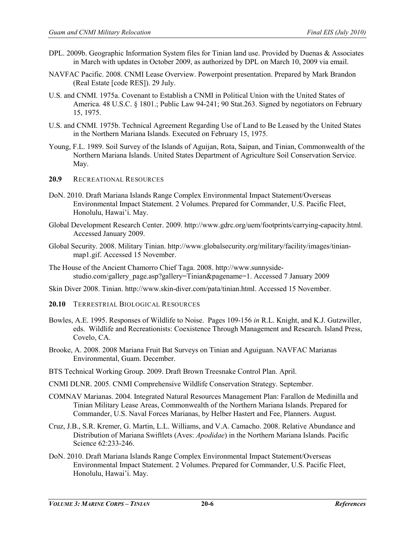- DPL. 2009b. Geographic Information System files for Tinian land use. Provided by Duenas & Associates in March with updates in October 2009, as authorized by DPL on March 10, 2009 via email.
- NAVFAC Pacific. 2008. CNMI Lease Overview. Powerpoint presentation. Prepared by Mark Brandon (Real Estate [code RES]). 29 July.
- U.S. and CNMI. 1975a. Covenant to Establish a CNMI in Political Union with the United States of America. 48 U.S.C. § 1801.; Public Law 94-241; 90 Stat.263. Signed by negotiators on February 15, 1975.
- U.S. and CNMI. 1975b. Technical Agreement Regarding Use of Land to Be Leased by the United States in the Northern Mariana Islands. Executed on February 15, 1975.
- Young, F.L. 1989. Soil Survey of the Islands of Aguijan, Rota, Saipan, and Tinian, Commonwealth of the Northern Mariana Islands. United States Department of Agriculture Soil Conservation Service. May.
- **20.9** RECREATIONAL RESOURCES
- DoN. 2010. Draft Mariana Islands Range Complex Environmental Impact Statement/Overseas Environmental Impact Statement. 2 Volumes. Prepared for Commander, U.S. Pacific Fleet, Honolulu, Hawai'i. May.
- Global Development Research Center. 2009. [http://www.gdrc.org/uem/footprints/carrying-capacity.html.](http://www.gdrc.org/uem/footprints/carrying-capacity.html%20Accessed%20January%202009)  [Accessed January 2009.](http://www.gdrc.org/uem/footprints/carrying-capacity.html%20Accessed%20January%202009)
- Global Security. 2008. Military Tinian. http://www.globalsecurity.org/military/facility/images/tinianmap1.gif. Accessed 15 November.
- The House of the Ancient Chamorro Chief Taga. 2008. [http://www.sunnyside](http://www.sunnyside-studio.com/gallery_page.asp?gallery=Tinian&pagename=1)[studio.com/gallery\\_page.asp?gallery=Tinian&pagename=1.](http://www.sunnyside-studio.com/gallery_page.asp?gallery=Tinian&pagename=1) Accessed 7 January 2009
- Skin Diver 2008. Tinian. [http://www.skin-diver.com/pata/tinian.html.](http://www.skin-diver.com/pata/tinian.html) Accessed 15 November.
- **20.10** TERRESTRIAL BIOLOGICAL RESOURCES
- Bowles, A.E. 1995. Responses of Wildlife to Noise. Pages 109-156 *in* R.L. Knight, and K.J. Gutzwiller, eds. Wildlife and Recreationists: Coexistence Through Management and Research. Island Press, Covelo, CA.
- Brooke, A. 2008. 2008 Mariana Fruit Bat Surveys on Tinian and Aguiguan. NAVFAC Marianas Environmental, Guam. December.
- BTS Technical Working Group. 2009. Draft Brown Treesnake Control Plan. April.
- CNMI DLNR. 2005. CNMI Comprehensive Wildlife Conservation Strategy. September.
- COMNAV Marianas. 2004. Integrated Natural Resources Management Plan: Farallon de Medinilla and Tinian Military Lease Areas, Commonwealth of the Northern Mariana Islands. Prepared for Commander, U.S. Naval Forces Marianas, by Helber Hastert and Fee, Planners. August.
- Cruz, J.B., S.R. Kremer, G. Martin, L.L. Williams, and V.A. Camacho. 2008. Relative Abundance and Distribution of Mariana Swiftlets (Aves: *Apodidae*) in the Northern Mariana Islands. Pacific Science 62:233-246.
- DoN. 2010. Draft Mariana Islands Range Complex Environmental Impact Statement/Overseas Environmental Impact Statement. 2 Volumes. Prepared for Commander, U.S. Pacific Fleet, Honolulu, Hawai'i. May.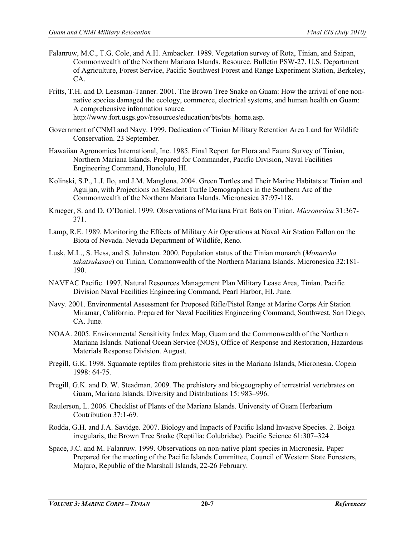- Falanruw, M.C., T.G. Cole, and A.H. Ambacker. 1989. Vegetation survey of Rota, Tinian, and Saipan, Commonwealth of the Northern Mariana Islands. Resource. Bulletin PSW-27. U.S. Department of Agriculture, Forest Service, Pacific Southwest Forest and Range Experiment Station, Berkeley, CA.
- Fritts, T.H. and D. Leasman-Tanner. 2001. The Brown Tree Snake on Guam: How the arrival of one nonnative species damaged the ecology, commerce, electrical systems, and human health on Guam: A comprehensive information source. http://www.fort.usgs.gov/resources/education/bts/bts\_home.asp.
- Government of CNMI and Navy. 1999. Dedication of Tinian Military Retention Area Land for Wildlife Conservation. 23 September.
- Hawaiian Agronomics International, Inc. 1985. Final Report for Flora and Fauna Survey of Tinian, Northern Mariana Islands. Prepared for Commander, Pacific Division, Naval Facilities Engineering Command, Honolulu, HI.
- Kolinski, S.P., L.I. Ilo, and J.M. Manglona. 2004. Green Turtles and Their Marine Habitats at Tinian and Aguijan, with Projections on Resident Turtle Demographics in the Southern Arc of the Commonwealth of the Northern Mariana Islands. Micronesica 37:97-118.
- Krueger, S. and D. O'Daniel. 1999. Observations of Mariana Fruit Bats on Tinian. *Micronesica* 31:367- 371.
- Lamp, R.E. 1989. Monitoring the Effects of Military Air Operations at Naval Air Station Fallon on the Biota of Nevada. Nevada Department of Wildlife, Reno.
- Lusk, M.L., S. Hess, and S. Johnston. 2000. Population status of the Tinian monarch (*Monarcha takatsukasae*) on Tinian, Commonwealth of the Northern Mariana Islands. Micronesica 32:181- 190.
- NAVFAC Pacific. 1997. Natural Resources Management Plan Military Lease Area, Tinian. Pacific Division Naval Facilities Engineering Command, Pearl Harbor, HI. June.
- Navy. 2001. Environmental Assessment for Proposed Rifle/Pistol Range at Marine Corps Air Station Miramar, California. Prepared for Naval Facilities Engineering Command, Southwest, San Diego, CA. June.
- NOAA. 2005. Environmental Sensitivity Index Map, Guam and the Commonwealth of the Northern Mariana Islands. National Ocean Service (NOS), Office of Response and Restoration, Hazardous Materials Response Division. August.
- Pregill, G.K. 1998. Squamate reptiles from prehistoric sites in the Mariana Islands, Micronesia. Copeia 1998: 64-75.
- Pregill, G.K. and D. W. Steadman. 2009. The prehistory and biogeography of terrestrial vertebrates on Guam, Mariana Islands. Diversity and Distributions 15: 983–996.
- Raulerson, L. 2006. Checklist of Plants of the Mariana Islands. University of Guam Herbarium Contribution 37:1-69.
- Rodda, G.H. and J.A. Savidge. 2007. Biology and Impacts of Pacific Island Invasive Species. 2. Boiga irregularis, the Brown Tree Snake (Reptilia: Colubridae). Pacific Science 61:307–324
- Space, J.C. and M. Falanruw. 1999. Observations on non-native plant species in Micronesia. Paper Prepared for the meeting of the Pacific Islands Committee, Council of Western State Foresters, Majuro, Republic of the Marshall Islands, 22-26 February.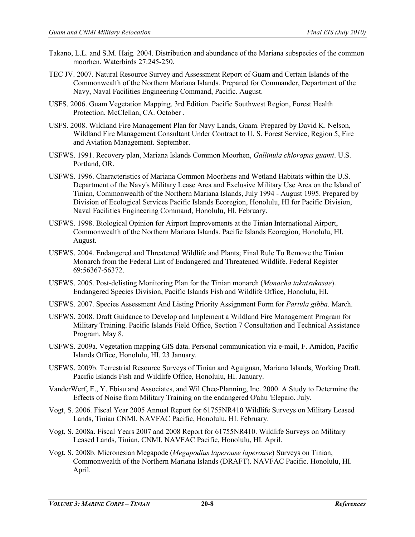- Takano, L.L. and S.M. Haig. 2004. Distribution and abundance of the Mariana subspecies of the common moorhen. Waterbirds 27:245-250.
- TEC JV. 2007. Natural Resource Survey and Assessment Report of Guam and Certain Islands of the Commonwealth of the Northern Mariana Islands. Prepared for Commander, Department of the Navy, Naval Facilities Engineering Command, Pacific. August.
- USFS. 2006. Guam Vegetation Mapping. 3rd Edition. Pacific Southwest Region, Forest Health Protection, McClellan, CA. October .
- USFS. 2008. Wildland Fire Management Plan for Navy Lands, Guam. Prepared by David K. Nelson, Wildland Fire Management Consultant Under Contract to U. S. Forest Service, Region 5, Fire and Aviation Management. September.
- USFWS. 1991. Recovery plan, Mariana Islands Common Moorhen, *Gallinula chloropus guami*. U.S. Portland, OR.
- USFWS. 1996. Characteristics of Mariana Common Moorhens and Wetland Habitats within the U.S. Department of the Navy's Military Lease Area and Exclusive Military Use Area on the Island of Tinian, Commonwealth of the Northern Mariana Islands, July 1994 - August 1995. Prepared by Division of Ecological Services Pacific Islands Ecoregion, Honolulu, HI for Pacific Division, Naval Facilities Engineering Command, Honolulu, HI. February.
- USFWS. 1998. Biological Opinion for Airport Improvements at the Tinian International Airport, Commonwealth of the Northern Mariana Islands. Pacific Islands Ecoregion, Honolulu, HI. August.
- USFWS. 2004. Endangered and Threatened Wildlife and Plants; Final Rule To Remove the Tinian Monarch from the Federal List of Endangered and Threatened Wildlife. Federal Register 69:56367-56372.
- USFWS. 2005. Post-delisting Monitoring Plan for the Tinian monarch (*Monacha takatsukasae*). Endangered Species Division, Pacific Islands Fish and Wildlife Office, Honolulu, HI.
- USFWS. 2007. Species Assessment And Listing Priority Assignment Form for *Partula gibba*. March.
- USFWS. 2008. Draft Guidance to Develop and Implement a Wildland Fire Management Program for Military Training. Pacific Islands Field Office, Section 7 Consultation and Technical Assistance Program. May 8.
- USFWS. 2009a. Vegetation mapping GIS data. Personal communication via e-mail, F. Amidon, Pacific Islands Office, Honolulu, HI. 23 January.
- USFWS. 2009b. Terrestrial Resource Surveys of Tinian and Aguiguan, Mariana Islands, Working Draft. Pacific Islands Fish and Wildlife Office, Honolulu, HI. January.
- VanderWerf, E., Y. Ebisu and Associates, and Wil Chee-Planning, Inc. 2000. A Study to Determine the Effects of Noise from Military Training on the endangered O'ahu 'Elepaio. July.
- Vogt, S. 2006. Fiscal Year 2005 Annual Report for 61755NR410 Wildlife Surveys on Military Leased Lands, Tinian CNMI. NAVFAC Pacific, Honolulu, HI. February.
- Vogt, S. 2008a. Fiscal Years 2007 and 2008 Report for 61755NR410. Wildlife Surveys on Military Leased Lands, Tinian, CNMI. NAVFAC Pacific, Honolulu, HI. April.
- Vogt, S. 2008b. Micronesian Megapode (*Megapodius laperouse laperouse*) Surveys on Tinian, Commonwealth of the Northern Mariana Islands (DRAFT). NAVFAC Pacific. Honolulu, HI. April.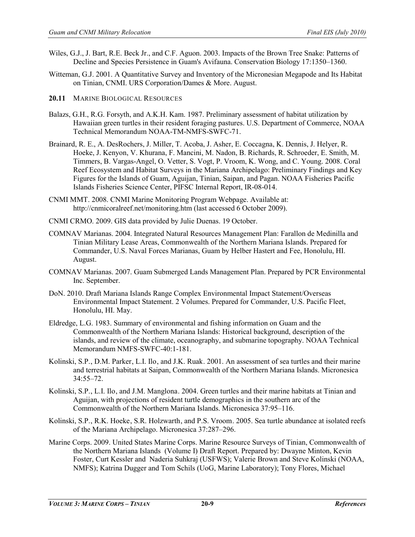- Wiles, G.J., J. Bart, R.E. Beck Jr., and C.F. Aguon. 2003. Impacts of the Brown Tree Snake: Patterns of Decline and Species Persistence in Guam's Avifauna. Conservation Biology 17:1350–1360.
- Witteman, G.J. 2001. A Quantitative Survey and Inventory of the Micronesian Megapode and Its Habitat on Tinian, CNMI. URS Corporation/Dames & More. August.
- **20.11** MARINE BIOLOGICAL RESOURCES
- Balazs, G.H., R.G. Forsyth, and A.K.H. Kam. 1987. Preliminary assessment of habitat utilization by Hawaiian green turtles in their resident foraging pastures. U.S. Department of Commerce, NOAA Technical Memorandum NOAA-TM-NMFS-SWFC-71.
- Brainard, R. E., A. DesRochers, J. Miller, T. Acoba, J. Asher, E. Coccagna, K. Dennis, J. Helyer, R. Hoeke, J. Kenyon, V. Khurana, F. Mancini, M. Nadon, B. Richards, R. Schroeder, E. Smith, M. Timmers, B. Vargas-Angel, O. Vetter, S. Vogt, P. Vroom, K. Wong, and C. Young. 2008. Coral Reef Ecosystem and Habitat Surveys in the Mariana Archipelago: Preliminary Findings and Key Figures for the Islands of Guam, Aguijan, Tinian, Saipan, and Pagan. NOAA Fisheries Pacific Islands Fisheries Science Center, PIFSC Internal Report, IR-08-014.
- CNMI MMT. 2008. CNMI Marine Monitoring Program Webpage. Available at: http://cnmicoralreef.net/monitoring.htm (last accessed 6 October 2009).
- CNMI CRMO. 2009. GIS data provided by Julie Duenas. 19 October.
- COMNAV Marianas. 2004. Integrated Natural Resources Management Plan: Farallon de Medinilla and Tinian Military Lease Areas, Commonwealth of the Northern Mariana Islands. Prepared for Commander, U.S. Naval Forces Marianas, Guam by Helber Hastert and Fee, Honolulu, HI. August.
- COMNAV Marianas. 2007. Guam Submerged Lands Management Plan. Prepared by PCR Environmental Inc. September.
- DoN. 2010. Draft Mariana Islands Range Complex Environmental Impact Statement/Overseas Environmental Impact Statement. 2 Volumes. Prepared for Commander, U.S. Pacific Fleet, Honolulu, HI. May.
- Eldredge, L.G. 1983. Summary of environmental and fishing information on Guam and the Commonwealth of the Northern Mariana Islands: Historical background, description of the islands, and review of the climate, oceanography, and submarine topography. NOAA Technical Memorandum NMFS-SWFC-40:1-181.
- Kolinski, S.P., D.M. Parker, L.I. Ilo, and J.K. Ruak. 2001. An assessment of sea turtles and their marine and terrestrial habitats at Saipan, Commonwealth of the Northern Mariana Islands. Micronesica 34:55–72.
- Kolinski, S.P., L.I. Ilo, and J.M. Manglona. 2004. Green turtles and their marine habitats at Tinian and Aguijan, with projections of resident turtle demographics in the southern arc of the Commonwealth of the Northern Mariana Islands. Micronesica 37:95–116.
- Kolinski, S.P., R.K. Hoeke, S.R. Holzwarth, and P.S. Vroom. 2005. Sea turtle abundance at isolated reefs of the Mariana Archipelago. Micronesica 37:287–296.
- Marine Corps. 2009. United States Marine Corps. Marine Resource Surveys of Tinian, Commonwealth of the Northern Mariana Islands (Volume I) Draft Report. Prepared by: Dwayne Minton, Kevin Foster, Curt Kessler and Naderia Suhkraj (USFWS); Valerie Brown and Steve Kolinski (NOAA, NMFS); Katrina Dugger and Tom Schils (UoG, Marine Laboratory); Tony Flores, Michael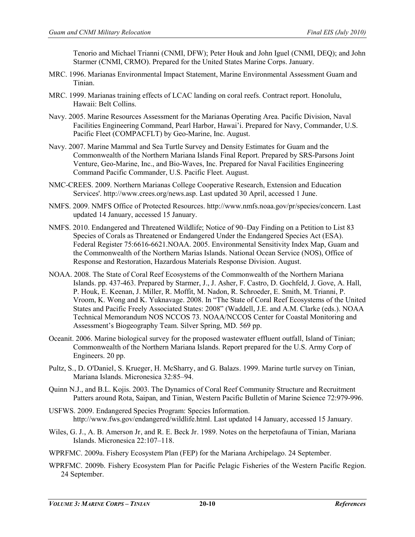Tenorio and Michael Trianni (CNMI, DFW); Peter Houk and John Iguel (CNMI, DEQ); and John Starmer (CNMI, CRMO). Prepared for the United States Marine Corps. January.

- MRC. 1996. Marianas Environmental Impact Statement, Marine Environmental Assessment Guam and Tinian.
- MRC. 1999. Marianas training effects of LCAC landing on coral reefs. Contract report. Honolulu, Hawaii: Belt Collins.
- Navy. 2005. Marine Resources Assessment for the Marianas Operating Area. Pacific Division, Naval Facilities Engineering Command, Pearl Harbor, Hawai'i. Prepared for Navy, Commander, U.S. Pacific Fleet (COMPACFLT) by Geo-Marine, Inc. August.
- Navy. 2007. Marine Mammal and Sea Turtle Survey and Density Estimates for Guam and the Commonwealth of the Northern Mariana Islands Final Report. Prepared by SRS-Parsons Joint Venture, Geo-Marine, Inc., and Bio-Waves, Inc. Prepared for Naval Facilities Engineering Command Pacific Commander, U.S. Pacific Fleet. August.
- NMC-CREES. 2009. Northern Marianas College Cooperative Research, Extension and Education Services'. http://www.crees.org/news.asp. Last updated 30 April, accessed 1 June.
- NMFS. 2009. NMFS Office of Protected Resources. http://www.nmfs.noaa.gov/pr/species/concern. Last updated 14 January, accessed 15 January.
- NMFS. 2010. Endangered and Threatened Wildlife; Notice of 90–Day Finding on a Petition to List 83 Species of Corals as Threatened or Endangered Under the Endangered Species Act (ESA). Federal Register 75:6616-6621.NOAA. 2005. Environmental Sensitivity Index Map, Guam and the Commonwealth of the Northern Marias Islands. National Ocean Service (NOS), Office of Response and Restoration, Hazardous Materials Response Division. August.
- NOAA. 2008. The State of Coral Reef Ecosystems of the Commonwealth of the Northern Mariana Islands. pp. 437-463. Prepared by Starmer, J., J. Asher, F. Castro, D. Gochfeld, J. Gove, A. Hall, P. Houk, E. Keenan, J. Miller, R. Moffit, M. Nadon, R. Schroeder, E. Smith, M. Trianni, P. Vroom, K. Wong and K. Yuknavage. 2008. In "The State of Coral Reef Ecosystems of the United States and Pacific Freely Associated States: 2008" (Waddell, J.E. and A.M. Clarke (eds.). NOAA Technical Memorandum NOS NCCOS 73. NOAA/NCCOS Center for Coastal Monitoring and Assessment's Biogeography Team. Silver Spring, MD. 569 pp.
- Oceanit. 2006. Marine biological survey for the proposed wastewater effluent outfall, Island of Tinian; Commonwealth of the Northern Mariana Islands. Report prepared for the U.S. Army Corp of Engineers. 20 pp.
- Pultz, S., D. O'Daniel, S. Krueger, H. McSharry, and G. Balazs. 1999. Marine turtle survey on Tinian, Mariana Islands. Micronesica 32:85–94.
- Quinn N.J., and B.L. Kojis. 2003. The Dynamics of Coral Reef Community Structure and Recruitment Patters around Rota, Saipan, and Tinian, Western Pacific Bulletin of Marine Science 72:979-996.
- USFWS. 2009. Endangered Species Program: Species Information. http://www.fws.gov/endangered/wildlife.html. Last updated 14 January, accessed 15 January.
- Wiles, G. J., A. B. Amerson Jr, and R. E. Beck Jr. 1989. Notes on the herpetofauna of Tinian, Mariana Islands. Micronesica 22:107–118.
- WPRFMC. 2009a. Fishery Ecosystem Plan (FEP) for the Mariana Archipelago. 24 September.
- WPRFMC. 2009b. Fishery Ecosystem Plan for Pacific Pelagic Fisheries of the Western Pacific Region. 24 September.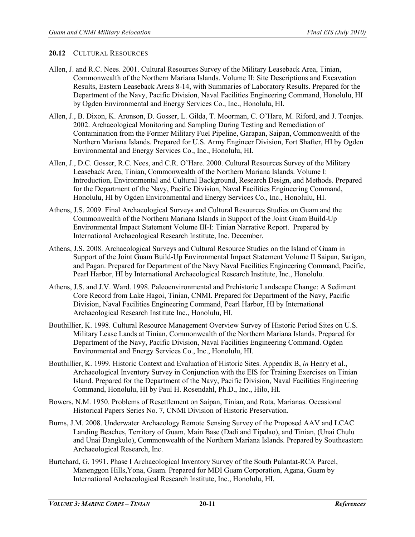## **20.12** CULTURAL RESOURCES

- Allen, J. and R.C. Nees. 2001. Cultural Resources Survey of the Military Leaseback Area, Tinian, Commonwealth of the Northern Mariana Islands. Volume II: Site Descriptions and Excavation Results, Eastern Leaseback Areas 8-14, with Summaries of Laboratory Results. Prepared for the Department of the Navy, Pacific Division, Naval Facilities Engineering Command, Honolulu, HI by Ogden Environmental and Energy Services Co., Inc., Honolulu, HI.
- Allen, J., B. Dixon, K. Aronson, D. Gosser, L. Gilda, T. Moorman, C. O'Hare, M. Riford, and J. Toenjes. 2002. Archaeological Monitoring and Sampling During Testing and Remediation of Contamination from the Former Military Fuel Pipeline, Garapan, Saipan, Commonwealth of the Northern Mariana Islands. Prepared for U.S. Army Engineer Division, Fort Shafter, HI by Ogden Environmental and Energy Services Co., Inc., Honolulu, HI.
- Allen, J., D.C. Gosser, R.C. Nees, and C.R. O'Hare. 2000. Cultural Resources Survey of the Military Leaseback Area, Tinian, Commonwealth of the Northern Mariana Islands. Volume I: Introduction, Environmental and Cultural Background, Research Design, and Methods. Prepared for the Department of the Navy, Pacific Division, Naval Facilities Engineering Command, Honolulu, HI by Ogden Environmental and Energy Services Co., Inc., Honolulu, HI.
- Athens, J.S. 2009. Final Archaeological Surveys and Cultural Resources Studies on Guam and the Commonwealth of the Northern Mariana Islands in Support of the Joint Guam Build-Up Environmental Impact Statement Volume III-I: Tinian Narrative Report. Prepared by International Archaeological Research Institute, Inc. December.
- Athens, J.S. 2008. Archaeological Surveys and Cultural Resource Studies on the Island of Guam in Support of the Joint Guam Build-Up Environmental Impact Statement Volume II Saipan, Sarigan, and Pagan. Prepared for Department of the Navy Naval Facilities Engineering Command, Pacific, Pearl Harbor, HI by International Archaeological Research Institute, Inc., Honolulu.
- Athens, J.S. and J.V. Ward. 1998. Paleoenvironmental and Prehistoric Landscape Change: A Sediment Core Record from Lake Hagoi, Tinian, CNMI. Prepared for Department of the Navy, Pacific Division, Naval Facilities Engineering Command, Pearl Harbor, HI by International Archaeological Research Institute Inc., Honolulu, HI.
- Bouthillier, K. 1998. Cultural Resource Management Overview Survey of Historic Period Sites on U.S. Military Lease Lands at Tinian, Commonwealth of the Northern Mariana Islands. Prepared for Department of the Navy, Pacific Division, Naval Facilities Engineering Command. Ogden Environmental and Energy Services Co., Inc., Honolulu, HI.
- Bouthillier, K. 1999. Historic Context and Evaluation of Historic Sites. Appendix B, *in* Henry et al., Archaeological Inventory Survey in Conjunction with the EIS for Training Exercises on Tinian Island. Prepared for the Department of the Navy, Pacific Division, Naval Facilities Engineering Command, Honolulu, HI by Paul H. Rosendahl, Ph.D., Inc., Hilo, HI.
- Bowers, N.M. 1950. Problems of Resettlement on Saipan, Tinian, and Rota, Marianas. Occasional Historical Papers Series No. 7, CNMI Division of Historic Preservation.
- Burns, J.M. 2008. Underwater Archaeology Remote Sensing Survey of the Proposed AAV and LCAC Landing Beaches, Territory of Guam, Main Base (Dadi and Tipalao), and Tinian, (Unai Chulu and Unai Dangkulo), Commonwealth of the Northern Mariana Islands. Prepared by Southeastern Archaeological Research, Inc.
- Burtchard, G. 1991. Phase I Archaeological Inventory Survey of the South Pulantat-RCA Parcel, Manenggon Hills,Yona, Guam. Prepared for MDI Guam Corporation, Agana, Guam by International Archaeological Research Institute, Inc., Honolulu, HI.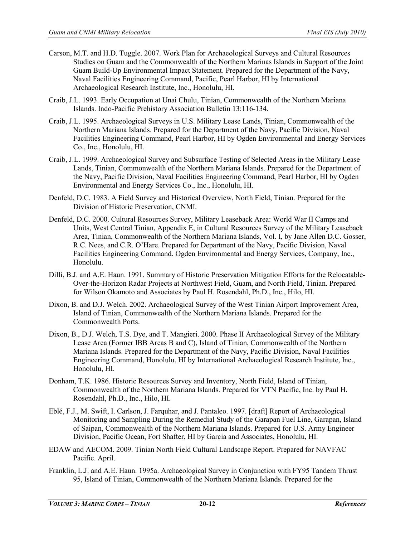- Carson, M.T. and H.D. Tuggle. 2007. Work Plan for Archaeological Surveys and Cultural Resources Studies on Guam and the Commonwealth of the Northern Marinas Islands in Support of the Joint Guam Build-Up Environmental Impact Statement. Prepared for the Department of the Navy, Naval Facilities Engineering Command, Pacific, Pearl Harbor, HI by International Archaeological Research Institute, Inc., Honolulu, HI.
- Craib, J.L. 1993. Early Occupation at Unai Chulu, Tinian, Commonwealth of the Northern Mariana Islands. Indo-Pacific Prehistory Association Bulletin 13:116-134.
- Craib, J.L. 1995. Archaeological Surveys in U.S. Military Lease Lands, Tinian, Commonwealth of the Northern Mariana Islands. Prepared for the Department of the Navy, Pacific Division, Naval Facilities Engineering Command, Pearl Harbor, HI by Ogden Environmental and Energy Services Co., Inc., Honolulu, HI.
- Craib, J.L. 1999. Archaeological Survey and Subsurface Testing of Selected Areas in the Military Lease Lands, Tinian, Commonwealth of the Northern Mariana Islands. Prepared for the Department of the Navy, Pacific Division, Naval Facilities Engineering Command, Pearl Harbor, HI by Ogden Environmental and Energy Services Co., Inc., Honolulu, HI.
- Denfeld, D.C. 1983. A Field Survey and Historical Overview, North Field, Tinian. Prepared for the Division of Historic Preservation, CNMI.
- Denfeld, D.C. 2000. Cultural Resources Survey, Military Leaseback Area: World War II Camps and Units, West Central Tinian, Appendix E, in Cultural Resources Survey of the Military Leaseback Area, Tinian, Commonwealth of the Northern Mariana Islands, Vol. I, by Jane Allen D.C. Gosser, R.C. Nees, and C.R. O'Hare. Prepared for Department of the Navy, Pacific Division, Naval Facilities Engineering Command. Ogden Environmental and Energy Services, Company, Inc., Honolulu.
- Dilli, B.J. and A.E. Haun. 1991. Summary of Historic Preservation Mitigation Efforts for the Relocatable-Over-the-Horizon Radar Projects at Northwest Field, Guam, and North Field, Tinian. Prepared for Wilson Okamoto and Associates by Paul H. Rosendahl, Ph.D., Inc., Hilo, HI.
- Dixon, B. and D.J. Welch. 2002. Archaeological Survey of the West Tinian Airport Improvement Area, Island of Tinian, Commonwealth of the Northern Mariana Islands. Prepared for the Commonwealth Ports.
- Dixon, B., D.J. Welch, T.S. Dye, and T. Mangieri. 2000. Phase II Archaeological Survey of the Military Lease Area (Former IBB Areas B and C), Island of Tinian, Commonwealth of the Northern Mariana Islands. Prepared for the Department of the Navy, Pacific Division, Naval Facilities Engineering Command, Honolulu, HI by International Archaeological Research Institute, Inc., Honolulu, HI.
- Donham, T.K. 1986. Historic Resources Survey and Inventory, North Field, Island of Tinian, Commonwealth of the Northern Mariana Islands. Prepared for VTN Pacific, Inc. by Paul H. Rosendahl, Ph.D., Inc., Hilo, HI.
- Eblé, F.J., M. Swift, I. Carlson, J. Farquhar, and J. Pantaleo. 1997. [draft] Report of Archaeological Monitoring and Sampling During the Remedial Study of the Garapan Fuel Line, Garapan, Island of Saipan, Commonwealth of the Northern Mariana Islands. Prepared for U.S. Army Engineer Division, Pacific Ocean, Fort Shafter, HI by Garcia and Associates, Honolulu, HI.
- EDAW and AECOM. 2009. Tinian North Field Cultural Landscape Report. Prepared for NAVFAC Pacific. April.
- Franklin, L.J. and A.E. Haun. 1995a. Archaeological Survey in Conjunction with FY95 Tandem Thrust 95, Island of Tinian, Commonwealth of the Northern Mariana Islands. Prepared for the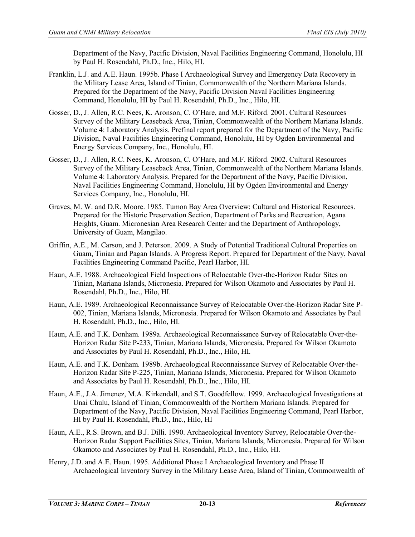Department of the Navy, Pacific Division, Naval Facilities Engineering Command, Honolulu, HI by Paul H. Rosendahl, Ph.D., Inc., Hilo, HI.

- Franklin, L.J. and A.E. Haun. 1995b. Phase I Archaeological Survey and Emergency Data Recovery in the Military Lease Area, Island of Tinian, Commonwealth of the Northern Mariana Islands. Prepared for the Department of the Navy, Pacific Division Naval Facilities Engineering Command, Honolulu, HI by Paul H. Rosendahl, Ph.D., Inc., Hilo, HI.
- Gosser, D., J. Allen, R.C. Nees, K. Aronson, C. O'Hare, and M.F. Riford. 2001. Cultural Resources Survey of the Military Leaseback Area, Tinian, Commonwealth of the Northern Mariana Islands. Volume 4: Laboratory Analysis. Prefinal report prepared for the Department of the Navy, Pacific Division, Naval Facilities Engineering Command, Honolulu, HI by Ogden Environmental and Energy Services Company, Inc., Honolulu, HI.
- Gosser, D., J. Allen, R.C. Nees, K. Aronson, C. O'Hare, and M.F. Riford. 2002. Cultural Resources Survey of the Military Leaseback Area, Tinian, Commonwealth of the Northern Mariana Islands. Volume 4: Laboratory Analysis. Prepared for the Department of the Navy, Pacific Division, Naval Facilities Engineering Command, Honolulu, HI by Ogden Environmental and Energy Services Company, Inc., Honolulu, HI.
- Graves, M. W. and D.R. Moore. 1985. Tumon Bay Area Overview: Cultural and Historical Resources. Prepared for the Historic Preservation Section, Department of Parks and Recreation, Agana Heights, Guam. Micronesian Area Research Center and the Department of Anthropology, University of Guam, Mangilao.
- Griffin, A.E., M. Carson, and J. Peterson. 2009. A Study of Potential Traditional Cultural Properties on Guam, Tinian and Pagan Islands. A Progress Report. Prepared for Department of the Navy, Naval Facilities Engineering Command Pacific, Pearl Harbor, HI.
- Haun, A.E. 1988. Archaeological Field Inspections of Relocatable Over-the-Horizon Radar Sites on Tinian, Mariana Islands, Micronesia. Prepared for Wilson Okamoto and Associates by Paul H. Rosendahl, Ph.D., Inc., Hilo, HI.
- Haun, A.E. 1989. Archaeological Reconnaissance Survey of Relocatable Over-the-Horizon Radar Site P-002, Tinian, Mariana Islands, Micronesia. Prepared for Wilson Okamoto and Associates by Paul H. Rosendahl, Ph.D., Inc., Hilo, HI.
- Haun, A.E. and T.K. Donham. 1989a. Archaeological Reconnaissance Survey of Relocatable Over-the-Horizon Radar Site P-233, Tinian, Mariana Islands, Micronesia. Prepared for Wilson Okamoto and Associates by Paul H. Rosendahl, Ph.D., Inc., Hilo, HI.
- Haun, A.E. and T.K. Donham. 1989b. Archaeological Reconnaissance Survey of Relocatable Over-the-Horizon Radar Site P-225, Tinian, Mariana Islands, Micronesia. Prepared for Wilson Okamoto and Associates by Paul H. Rosendahl, Ph.D., Inc., Hilo, HI.
- Haun, A.E., J.A. Jimenez, M.A. Kirkendall, and S.T. Goodfellow. 1999. Archaeological Investigations at Unai Chulu, Island of Tinian, Commonwealth of the Northern Mariana Islands. Prepared for Department of the Navy, Pacific Division, Naval Facilities Engineering Command, Pearl Harbor, HI by Paul H. Rosendahl, Ph.D., Inc., Hilo, HI
- Haun, A.E., R.S. Brown, and B.J. Dilli. 1990. Archaeological Inventory Survey, Relocatable Over-the-Horizon Radar Support Facilities Sites, Tinian, Mariana Islands, Micronesia. Prepared for Wilson Okamoto and Associates by Paul H. Rosendahl, Ph.D., Inc., Hilo, HI.
- Henry, J.D. and A.E. Haun. 1995. Additional Phase I Archaeological Inventory and Phase II Archaeological Inventory Survey in the Military Lease Area, Island of Tinian, Commonwealth of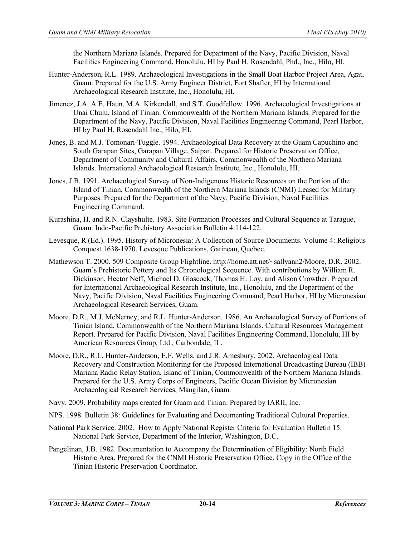the Northern Mariana Islands. Prepared for Department of the Navy, Pacific Division, Naval Facilities Engineering Command, Honolulu, HI by Paul H. Rosendahl, Phd., Inc., Hilo, HI.

- Hunter-Anderson, R.L. 1989. Archaeological Investigations in the Small Boat Harbor Project Area, Agat, Guam. Prepared for the U.S. Army Engineer District, Fort Shafter, HI by International Archaeological Research Institute, Inc., Honolulu, HI.
- Jimenez, J.A. A.E. Haun, M.A. Kirkendall, and S.T. Goodfellow. 1996. Archaeological Investigations at Unai Chulu, Island of Tinian. Commonwealth of the Northern Mariana Islands. Prepared for the Department of the Navy, Pacific Division, Naval Facilities Engineering Command, Pearl Harbor, HI by Paul H. Rosendahl Inc., Hilo, HI.
- Jones, B. and M.J. Tomonari-Tuggle. 1994. Archaeological Data Recovery at the Guam Capuchino and South Garapan Sites, Garapan Village, Saipan. Prepared for Historic Preservation Office, Department of Community and Cultural Affairs, Commonwealth of the Northern Mariana Islands. International Archaeological Research Institute, Inc., Honolulu, HI.
- Jones, J.B. 1991. Archaeological Survey of Non-Indigenous Historic Resources on the Portion of the Island of Tinian, Commonwealth of the Northern Mariana Islands (CNMI) Leased for Military Purposes. Prepared for the Department of the Navy, Pacific Division, Naval Facilities Engineering Command.
- Kurashina, H. and R.N. Clayshulte. 1983. Site Formation Processes and Cultural Sequence at Tarague, Guam. Indo-Pacific Prehistory Association Bulletin 4:114-122.
- Levesque, R.(Ed.). 1995. History of Micronesia: A Collection of Source Documents. Volume 4: Religious Conquest 1638-1970. Levesque Publications, Gatineau, Quebec.
- Mathewson T. 2000. 509 Composite Group Flightline[. http://home.att.net/~sallyann2/M](http://home.att.net/~sallyann2/)oore, D.R. 2002. Guam's Prehistoric Pottery and Its Chronological Sequence. With contributions by William R. Dickinson, Hector Neff, Michael D. Glascock, Thomas H. Loy, and Alison Crowther. Prepared for International Archaeological Research Institute, Inc., Honolulu, and the Department of the Navy, Pacific Division, Naval Facilities Engineering Command, Pearl Harbor, HI by Micronesian Archaeological Research Services, Guam.
- Moore, D.R., M.J. McNerney, and R.L. Hunter-Anderson. 1986. An Archaeological Survey of Portions of Tinian Island, Commonwealth of the Northern Mariana Islands. Cultural Resources Management Report. Prepared for Pacific Division, Naval Facilities Engineering Command, Honolulu, HI by American Resources Group, Ltd., Carbondale, IL.
- Moore, D.R., R.L. Hunter-Anderson, E.F. Wells, and J.R. Amesbury. 2002. Archaeological Data Recovery and Construction Monitoring for the Proposed International Broadcasting Bureau (IBB) Mariana Radio Relay Station, Island of Tinian, Commonwealth of the Northern Mariana Islands. Prepared for the U.S. Army Corps of Engineers, Pacific Ocean Division by Micronesian Archaeological Research Services, Mangilao, Guam.
- Navy. 2009. Probability maps created for Guam and Tinian. Prepared by IARII, Inc.
- NPS. 1998. Bulletin 38: Guidelines for Evaluating and Documenting Traditional Cultural Properties.
- National Park Service. 2002. How to Apply National Register Criteria for Evaluation Bulletin 15. National Park Service, Department of the Interior, Washington, D.C.
- Pangelinan, J.B. 1982. Documentation to Accompany the Determination of Eligibility: North Field Historic Area. Prepared for the CNMI Historic Preservation Office. Copy in the Office of the Tinian Historic Preservation Coordinator.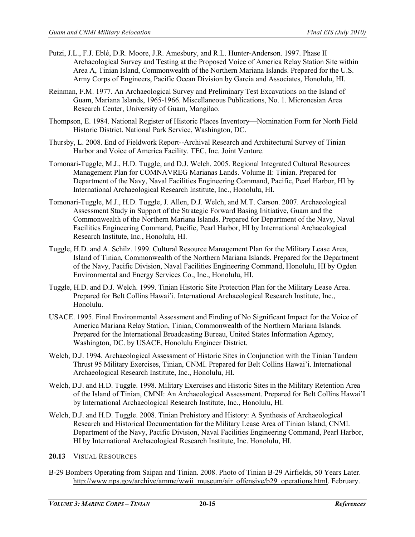- Putzi, J.L., F.J. Eblé, D.R. Moore, J.R. Amesbury, and R.L. Hunter-Anderson. 1997. Phase II Archaeological Survey and Testing at the Proposed Voice of America Relay Station Site within Area A, Tinian Island, Commonwealth of the Northern Mariana Islands. Prepared for the U.S. Army Corps of Engineers, Pacific Ocean Division by Garcia and Associates, Honolulu, HI.
- Reinman, F.M. 1977. An Archaeological Survey and Preliminary Test Excavations on the Island of Guam, Mariana Islands, 1965-1966. Miscellaneous Publications, No. 1. Micronesian Area Research Center, University of Guam, Mangilao.
- Thompson, E. 1984. National Register of Historic Places Inventory—Nomination Form for North Field Historic District. National Park Service, Washington, DC.
- Thursby, L. 2008. End of Fieldwork Report--Archival Research and Architectural Survey of Tinian Harbor and Voice of America Facility. TEC, Inc. Joint Venture.
- Tomonari-Tuggle, M.J., H.D. Tuggle, and D.J. Welch. 2005. Regional Integrated Cultural Resources Management Plan for COMNAVREG Marianas Lands. Volume II: Tinian. Prepared for Department of the Navy, Naval Facilities Engineering Command, Pacific, Pearl Harbor, HI by International Archaeological Research Institute, Inc., Honolulu, HI.
- Tomonari-Tuggle, M.J., H.D. Tuggle, J. Allen, D.J. Welch, and M.T. Carson. 2007. Archaeological Assessment Study in Support of the Strategic Forward Basing Initiative, Guam and the Commonwealth of the Northern Mariana Islands. Prepared for Department of the Navy, Naval Facilities Engineering Command, Pacific, Pearl Harbor, HI by International Archaeological Research Institute, Inc., Honolulu, HI.
- Tuggle, H.D. and A. Schilz. 1999. Cultural Resource Management Plan for the Military Lease Area, Island of Tinian, Commonwealth of the Northern Mariana Islands. Prepared for the Department of the Navy, Pacific Division, Naval Facilities Engineering Command, Honolulu, HI by Ogden Environmental and Energy Services Co., Inc., Honolulu, HI.
- Tuggle, H.D. and D.J. Welch. 1999. Tinian Historic Site Protection Plan for the Military Lease Area. Prepared for Belt Collins Hawai'i. International Archaeological Research Institute, Inc., Honolulu.
- USACE. 1995. Final Environmental Assessment and Finding of No Significant Impact for the Voice of America Mariana Relay Station, Tinian, Commonwealth of the Northern Mariana Islands. Prepared for the International Broadcasting Bureau, United States Information Agency, Washington, DC. by USACE, Honolulu Engineer District.
- Welch, D.J. 1994. Archaeological Assessment of Historic Sites in Conjunction with the Tinian Tandem Thrust 95 Military Exercises, Tinian, CNMI. Prepared for Belt Collins Hawai'i. International Archaeological Research Institute, Inc., Honolulu, HI.
- Welch, D.J. and H.D. Tuggle. 1998. Military Exercises and Historic Sites in the Military Retention Area of the Island of Tinian, CMNI: An Archaeological Assessment. Prepared for Belt Collins Hawai'I by International Archaeological Research Institute, Inc., Honolulu, HI.
- Welch, D.J. and H.D. Tuggle. 2008. Tinian Prehistory and History: A Synthesis of Archaeological Research and Historical Documentation for the Military Lease Area of Tinian Island, CNMI. Department of the Navy, Pacific Division, Naval Facilities Engineering Command, Pearl Harbor, HI by International Archaeological Research Institute, Inc. Honolulu, HI.
- **20.13** VISUAL RESOURCES
- B-29 Bombers Operating from Saipan and Tinian. 2008. Photo of Tinian B-29 Airfields, 50 Years Later. [http://www.nps.gov/archive/amme/wwii\\_museum/air\\_offensive/b29\\_operations.html.](http://www.nps.gov/archive/amme/wwii_museum/air_offensive/b29_operations.html) February.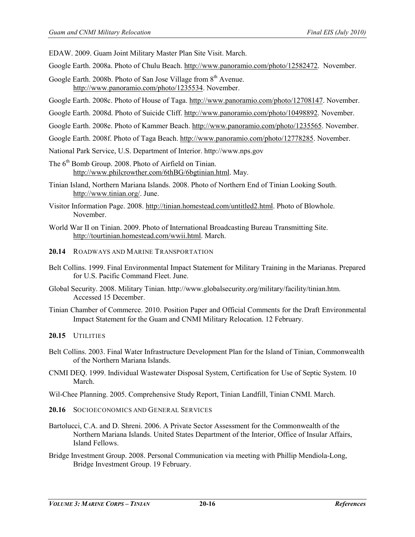EDAW. 2009. Guam Joint Military Master Plan Site Visit. March.

- Google Earth. 2008a. Photo of Chulu Beach. [http://www.panoramio.com/photo/12582472.](http://www.panoramio.com/photo/12582472) November.
- Google Earth. 2008b. Photo of San Jose Village from 8<sup>th</sup> Avenue. [http://www.panoramio.com/photo/1235534.](http://www.panoramio.com/photo/1235534) November.
- Google Earth. 2008c. Photo of House of Taga. [http://www.panoramio.com/photo/12708147.](http://www.panoramio.com/photo/12708147) November.
- Google Earth. 2008d. Photo of Suicide Cliff. [http://www.panoramio.com/photo/10498892.](http://www.panoramio.com/photo/10498892) November.
- Google Earth. 2008e. Photo of Kammer Beach. [http://www.panoramio.com/photo/1235565.](http://www.panoramio.com/photo/1235565) November.
- Google Earth. 2008f. Photo of Taga Beach[. http://www.panoramio.com/photo/12778285.](http://www.panoramio.com/photo/12778285) November.
- National Park Service, U.S. Department of Interior. http://www.nps.gov
- The 6<sup>th</sup> Bomb Group. 2008. Photo of Airfield on Tinian. [http://www.philcrowther.com/6thBG/6bgtinian.html.](http://www.philcrowther.com/6thBG/6bgtinian.html) May.
- Tinian Island, Northern Mariana Islands. 2008. Photo of Northern End of Tinian Looking South. [http://www.tinian.org/.](http://www.tinian.org/) June.
- Visitor Information Page. 2008. [http://tinian.homestead.com/untitled2.html.](http://tinian.homestead.com/untitled2.html) Photo of Blowhole. November.
- World War II on Tinian. 2009. Photo of International Broadcasting Bureau Transmitting Site. [http://tourtinian.homestead.com/wwii.html.](http://tourtinian.homestead.com/wwii.html) March.
- **20.14** ROADWAYS AND MARINE TRANSPORTATION
- Belt Collins. 1999. Final Environmental Impact Statement for Military Training in the Marianas. Prepared for U.S. Pacific Command Fleet. June.
- Global Security. 2008. Military Tinian. http://www.globalsecurity.org/military/facility/tinian.htm. Accessed 15 December.
- Tinian Chamber of Commerce. 2010. Position Paper and Official Comments for the Draft Environmental Impact Statement for the Guam and CNMI Military Relocation. 12 February.

**20.15** UTILITIES

- Belt Collins. 2003. Final Water Infrastructure Development Plan for the Island of Tinian, Commonwealth of the Northern Mariana Islands.
- CNMI DEQ. 1999. Individual Wastewater Disposal System, Certification for Use of Septic System. 10 March.
- Wil-Chee Planning. 2005. Comprehensive Study Report, Tinian Landfill, Tinian CNMI. March.
- **20.16** SOCIOECONOMICS AND GENERAL SERVICES
- Bartolucci, C.A. and D. Shreni. 2006. A Private Sector Assessment for the Commonwealth of the Northern Mariana Islands. United States Department of the Interior, Office of Insular Affairs, Island Fellows.
- Bridge Investment Group. 2008. Personal Communication via meeting with Phillip Mendiola-Long, Bridge Investment Group. 19 February.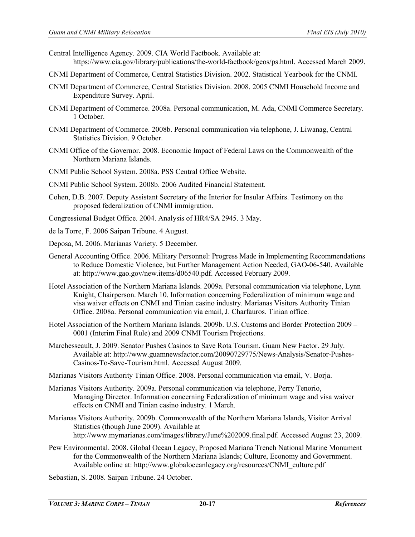- Central Intelligence Agency. 2009. CIA World Factbook. Available at: <https://www.cia.gov/library/publications/the-world-factbook/geos/ps.html.>Accessed March 2009.
- CNMI Department of Commerce, Central Statistics Division. 2002. Statistical Yearbook for the CNMI.
- CNMI Department of Commerce, Central Statistics Division. 2008. 2005 CNMI Household Income and Expenditure Survey. April.
- CNMI Department of Commerce. 2008a. Personal communication, M. Ada, CNMI Commerce Secretary. 1 October.
- CNMI Department of Commerce. 2008b. Personal communication via telephone, J. Liwanag, Central Statistics Division. 9 October.
- CNMI Office of the Governor. 2008. Economic Impact of Federal Laws on the Commonwealth of the Northern Mariana Islands.
- CNMI Public School System. 2008a. PSS Central Office Website.
- CNMI Public School System. 2008b. 2006 Audited Financial Statement.
- Cohen, D.B. 2007. Deputy Assistant Secretary of the Interior for Insular Affairs. Testimony on the proposed federalization of CNMI immigration.
- Congressional Budget Office. 2004. Analysis of HR4/SA 2945. 3 May.
- de la Torre, F. 2006 Saipan Tribune. 4 August.
- Deposa, M. 2006. Marianas Variety. 5 December.
- General Accounting Office. 2006. Military Personnel: Progress Made in Implementing Recommendations to Reduce Domestic Violence, but Further Management Action Needed, GAO-06-540. Available at[: http://www.gao.gov/new.items/d06540.pdf.](http://www.gao.gov/new.items/d06540.pdf) Accessed February 2009.
- Hotel Association of the Northern Mariana Islands. 2009a. Personal communication via telephone, Lynn Knight, Chairperson. March 10. Information concerning Federalization of minimum wage and visa waiver effects on CNMI and Tinian casino industry. Marianas Visitors Authority Tinian Office. 2008a. Personal communication via email, J. Charfauros. Tinian office.
- Hotel Association of the Northern Mariana Islands. 2009b. U.S. Customs and Border Protection 2009 0001 (Interim Final Rule) and 2009 CNMI Tourism Projections.
- Marchesseault, J. 2009. Senator Pushes Casinos to Save Rota Tourism. Guam New Factor. 29 July. Available at: [http://www.guamnewsfactor.com/20090729775/News-Analysis/Senator-Pushes-](http://www.guamnewsfactor.com/20090729775/News-Analysis/Senator-Pushes-Casinos-To-Save-Tourism.html)[Casinos-To-Save-Tourism.html.](http://www.guamnewsfactor.com/20090729775/News-Analysis/Senator-Pushes-Casinos-To-Save-Tourism.html) Accessed August 2009.
- Marianas Visitors Authority Tinian Office. 2008. Personal communication via email, V. Borja.
- Marianas Visitors Authority. 2009a. Personal communication via telephone, Perry Tenorio, Managing Director. Information concerning Federalization of minimum wage and visa waiver effects on CNMI and Tinian casino industry. 1 March.
- Marianas Visitors Authority. 2009b. Commonwealth of the Northern Mariana Islands, Visitor Arrival Statistics (though June 2009). Available at [http://www.mymarianas.com/images/library/June%202009.final.pdf.](http://www.mymarianas.com/images/library/June%202009.final.pdf) Accessed August 23, 2009.
- Pew Environmental. 2008. Global Ocean Legacy, Proposed Mariana Trench National Marine Monument for the Commonwealth of the Northern Mariana Islands; Culture, Economy and Government. Available online at: [http://www.globaloceanlegacy.org/resources/CNMI\\_culture.pdf](http://www.globaloceanlegacy.org/resources/CNMI_culture.pdf)
- Sebastian, S. 2008. Saipan Tribune. 24 October.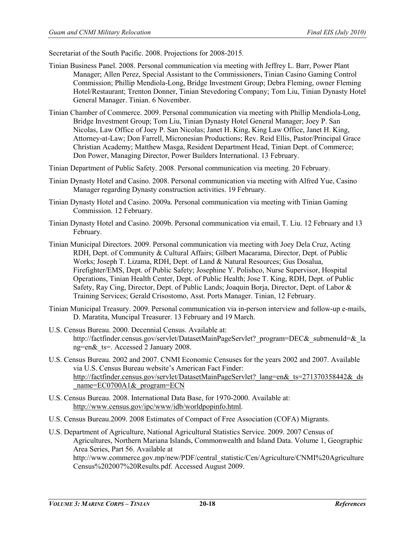Secretariat of the South Pacific. 2008. Projections for 2008-2015*.* 

- Tinian Business Panel. 2008. Personal communication via meeting with Jeffrey L. Barr, Power Plant Manager; Allen Perez, Special Assistant to the Commissioners, Tinian Casino Gaming Control Commission; Phillip Mendiola-Long, Bridge Investment Group; Debra Fleming, owner Fleming Hotel/Restaurant; Trenton Donner, Tinian Stevedoring Company; Tom Liu, Tinian Dynasty Hotel General Manager. Tinian. 6 November.
- Tinian Chamber of Commerce. 2009. Personal communication via meeting with Phillip Mendiola-Long, Bridge Investment Group; Tom Liu, Tinian Dynasty Hotel General Manager; Joey P. San Nicolas, Law Office of Joey P. San Nicolas; Janet H. King, King Law Office, Janet H. King, Attorney-at-Law; Don Farrell, Micronesian Productions; Rev. Reid Ellis, Pastor/Principal Grace Christian Academy; Matthew Masga, Resident Department Head, Tinian Dept. of Commerce; Don Power, Managing Director, Power Builders International. 13 February.
- Tinian Department of Public Safety. 2008. Personal communication via meeting. 20 February.
- Tinian Dynasty Hotel and Casino. 2008. Personal communication via meeting with Alfred Yue, Casino Manager regarding Dynasty construction activities. 19 February.
- Tinian Dynasty Hotel and Casino. 2009a. Personal communication via meeting with Tinian Gaming Commission. 12 February.
- Tinian Dynasty Hotel and Casino. 2009b. Personal communication via email, T. Liu. 12 February and 13 February.
- Tinian Municipal Directors. 2009. Personal communication via meeting with Joey Dela Cruz, Acting RDH, Dept. of Community & Cultural Affairs; Gilbert Macarama, Director, Dept. of Public Works; Joseph T. Lizama, RDH, Dept. of Land & Natural Resources; Gus Dosalua, Firefighter/EMS, Dept. of Public Safety; Josephine Y. Polishco, Nurse Supervisor, Hospital Operations, Tinian Health Center, Dept. of Public Health; Jose T. King, RDH, Dept. of Public Safety, Ray Cing, Director, Dept. of Public Lands; Joaquin Borja, Director, Dept. of Labor & Training Services; Gerald Crisostomo, Asst. Ports Manager. Tinian, 12 February.
- Tinian Municipal Treasury. 2009. Personal communication via in-person interview and follow-up e-mails, D. Maratita, Muncipal Treasurer. 13 February and 19 March.
- U.S. Census Bureau. 2000. Decennial Census. Available at: http://factfinder.census.gov/servlet/DatasetMainPageServlet? program=DEC& submenuId=& la [ng=en&\\_ts=](http://factfinder.census.gov/servlet/DatasetMainPageServlet?_program=DEC&_submenuId=&_lang=en&_ts). Accessed 2 January 2008.
- U.S. Census Bureau. 2002 and 2007. CNMI Economic Censuses for the years 2002 and 2007. Available via U.S. Census Bureau website's American Fact Finder: http://factfinder.census.gov/servlet/DatasetMainPageServlet? lang=en&\_ts=271370358442&\_ds [\\_name=EC0700A1&\\_program=ECN](http://factfinder.census.gov/servlet/DatasetMainPageServlet?_lang=en&_ts=271370358442&_ds_name=EC0700A1&_program=ECN)
- U.S. Census Bureau. 2008. International Data Base, for 1970-2000. Available at: [http://www.census.gov/ipc/www/idb/worldpopinfo.html.](http://www.census.gov/ipc/www/idb/worldpopinfo.html)
- U.S. Census Bureau.2009. 2008 Estimates of Compact of Free Association (COFA) Migrants.
- U.S. Department of Agriculture, National Agricultural Statistics Service. 2009. 2007 Census of Agricultures, Northern Mariana Islands, Commonwealth and Island Data. Volume 1, Geographic Area Series, Part 56. Available at [http://www.commerce.gov.mp/new/PDF/central\\_statistic/Cen/Agriculture/CNMI%20Agriculture](http://www.commerce.gov.mp/new/PDF/central_statistic/Cen/Agriculture/CNMI%20AgricultureCensus%202007%20Results.pdf) [Census%202007%20Results.pdf.](http://www.commerce.gov.mp/new/PDF/central_statistic/Cen/Agriculture/CNMI%20AgricultureCensus%202007%20Results.pdf) Accessed August 2009.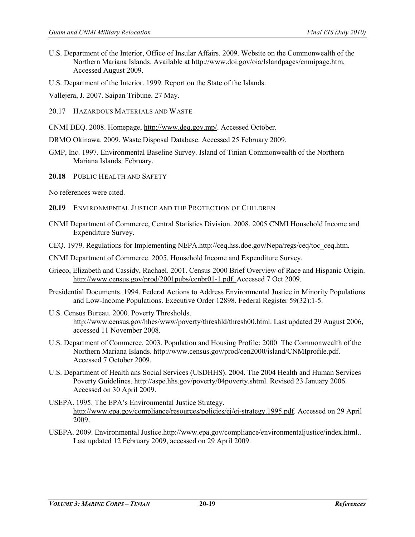- U.S. Department of the Interior, Office of Insular Affairs. 2009. Website on the Commonwealth of the Northern Mariana Islands. Available a[t http://www.doi.gov/oia/Islandpages/cnmipage.htm.](http://www.doi.gov/oia/Islandpages/cnmipage.htm) Accessed August 2009.
- U.S. Department of the Interior. 1999. Report on the State of the Islands.
- Vallejera, J. 2007. Saipan Tribune. 27 May.
- 20.17 HAZARDOUS MATERIALS AND WASTE
- CNMI DEQ. 2008. Homepage, [http://www.deq.gov.mp/.](http://www.deq.gov.mp/) Accessed October.
- DRMO Okinawa. 2009. Waste Disposal Database. Accessed 25 February 2009.
- GMP, Inc. 1997. Environmental Baseline Survey. Island of Tinian Commonwealth of the Northern Mariana Islands. February.
- **20.18** PUBLIC HEALTH AND SAFETY
- No references were cited.
- **20.19** ENVIRONMENTAL JUSTICE AND THE PROTECTION OF CHILDREN
- CNMI Department of Commerce, Central Statistics Division. 2008. 2005 CNMI Household Income and Expenditure Survey.
- CEQ. 1979. Regulations for Implementing NEPA[.http://ceq.hss.doe.gov/Nepa/regs/ceq/toc\\_ceq.htm.](http://ceq.hss.doe.gov/Nepa/regs/ceq/toc_ceq.htm)
- CNMI Department of Commerce. 2005. Household Income and Expenditure Survey.
- Grieco, Elizabeth and Cassidy, Rachael. 2001. Census 2000 Brief Overview of Race and Hispanic Origin. [http://www.census.gov/prod/2001pubs/cenbr01-1.pdf. Accessed 7 Oct 2009.](http://www.census.gov/prod/2001pubs/cenbr01-1.pdf.%20Accessed%207%20Oct%202009)
- Presidential Documents. 1994. Federal Actions to Address Environmental Justice in Minority Populations and Low-Income Populations. Executive Order 12898. Federal Register 59(32):1-5.
- U.S. Census Bureau. 2000. Poverty Thresholds. [http://www.census.gov/hhes/www/poverty/threshld/thresh00.html.](http://www.census.gov/hhes/www/poverty/threshld/thresh00.html) Last updated 29 August 2006, accessed 11 November 2008.
- U.S. Department of Commerce. 2003. Population and Housing Profile: 2000 The Commonwealth of the Northern Mariana Islands. [http://www.census.gov/prod/cen2000/island/CNMIprofile.pdf.](http://www.census.gov/prod/cen2000/island/CNMIprofile.pdf) Accessed 7 October 2009.
- U.S. Department of Health ans Social Services (USDHHS). 2004. The 2004 Health and Human Services Poverty Guidelines. http://aspe.hhs.gov/poverty/04poverty.shtml. Revised 23 January 2006. Accessed on 30 April 2009.
- USEPA. 1995. The EPA's Environmental Justice Strategy. [http://www.epa.gov/compliance/resources/policies/ej/ej-strategy.1995.pdf.](http://www.epa.gov/compliance/resources/policies/ej/ej-strategy.1995.pdf) Accessed on 29 April 2009.
- USEPA. 2009. Environmental Justice.http://www.epa.gov/compliance/environmentaljustice/index.html.. Last updated 12 February 2009, accessed on 29 April 2009.